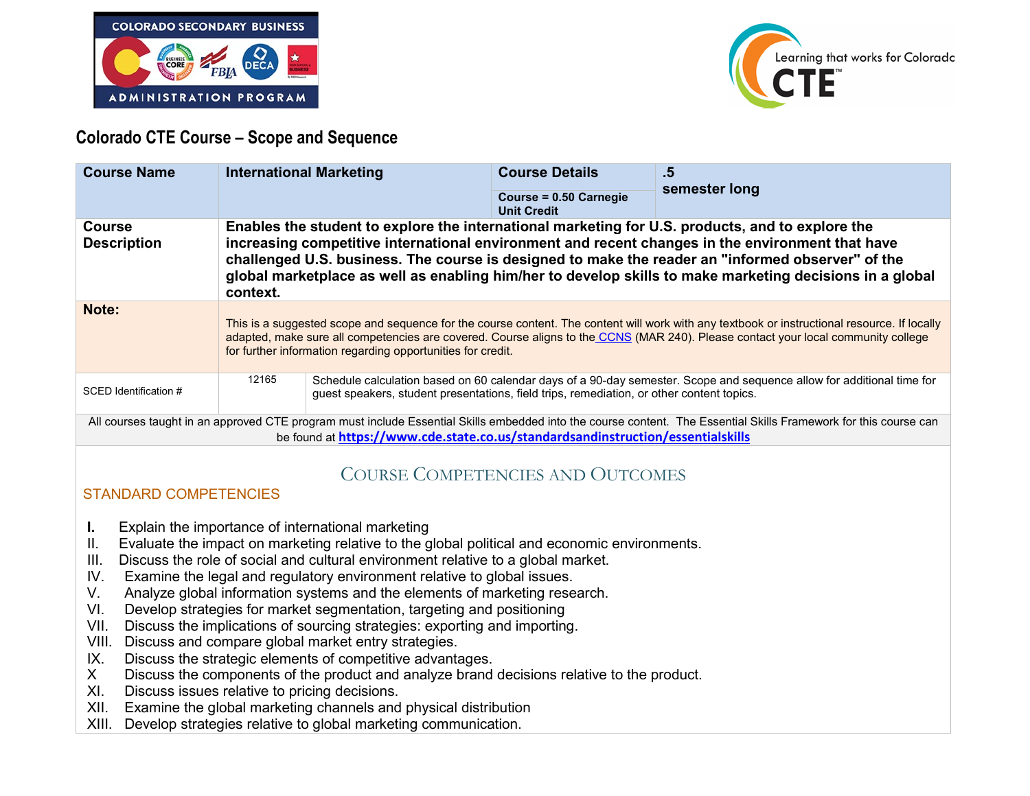



## **Colorado CTE Course – Scope and Sequence**

| <b>Course Name</b>                                                                                                                                                                                                                                  | <b>International Marketing</b>                                                                                                                                                                                                                                                                                                                                                                                                    |                                                                                           | <b>Course Details</b><br>Course = 0.50 Carnegie<br><b>Unit Credit</b> | .5<br>semester long                                                                                                   |
|-----------------------------------------------------------------------------------------------------------------------------------------------------------------------------------------------------------------------------------------------------|-----------------------------------------------------------------------------------------------------------------------------------------------------------------------------------------------------------------------------------------------------------------------------------------------------------------------------------------------------------------------------------------------------------------------------------|-------------------------------------------------------------------------------------------|-----------------------------------------------------------------------|-----------------------------------------------------------------------------------------------------------------------|
| <b>Course</b><br><b>Description</b>                                                                                                                                                                                                                 | Enables the student to explore the international marketing for U.S. products, and to explore the<br>increasing competitive international environment and recent changes in the environment that have<br>challenged U.S. business. The course is designed to make the reader an "informed observer" of the<br>global marketplace as well as enabling him/her to develop skills to make marketing decisions in a global<br>context. |                                                                                           |                                                                       |                                                                                                                       |
| Note:                                                                                                                                                                                                                                               | This is a suggested scope and sequence for the course content. The content will work with any textbook or instructional resource. If locally<br>adapted, make sure all competencies are covered. Course aligns to the CCNS (MAR 240). Please contact your local community college<br>for further information regarding opportunities for credit.                                                                                  |                                                                                           |                                                                       |                                                                                                                       |
| SCED Identification #                                                                                                                                                                                                                               | 12165                                                                                                                                                                                                                                                                                                                                                                                                                             | guest speakers, student presentations, field trips, remediation, or other content topics. |                                                                       | Schedule calculation based on 60 calendar days of a 90-day semester. Scope and sequence allow for additional time for |
| All courses taught in an approved CTE program must include Essential Skills embedded into the course content. The Essential Skills Framework for this course can<br>be found at https://www.cde.state.co.us/standardsandinstruction/essentialskills |                                                                                                                                                                                                                                                                                                                                                                                                                                   |                                                                                           |                                                                       |                                                                                                                       |

# COURSE COMPETENCIES AND OUTCOMES

#### STANDARD COMPETENCIES

- **I.** Explain the importance of international marketing
- II. Evaluate the impact on marketing relative to the global political and economic environments.
- III. Discuss the role of social and cultural environment relative to a global market.
- IV. Examine the legal and regulatory environment relative to global issues.
- V. Analyze global information systems and the elements of marketing research.
- VI. Develop strategies for market segmentation, targeting and positioning
- VII. Discuss the implications of sourcing strategies: exporting and importing.
- VIII. Discuss and compare global market entry strategies.
- IX. Discuss the strategic elements of competitive advantages.
- X Discuss the components of the product and analyze brand decisions relative to the product.
- XI. Discuss issues relative to pricing decisions.
- XII. Examine the global marketing channels and physical distribution
- XIII. Develop strategies relative to global marketing communication.